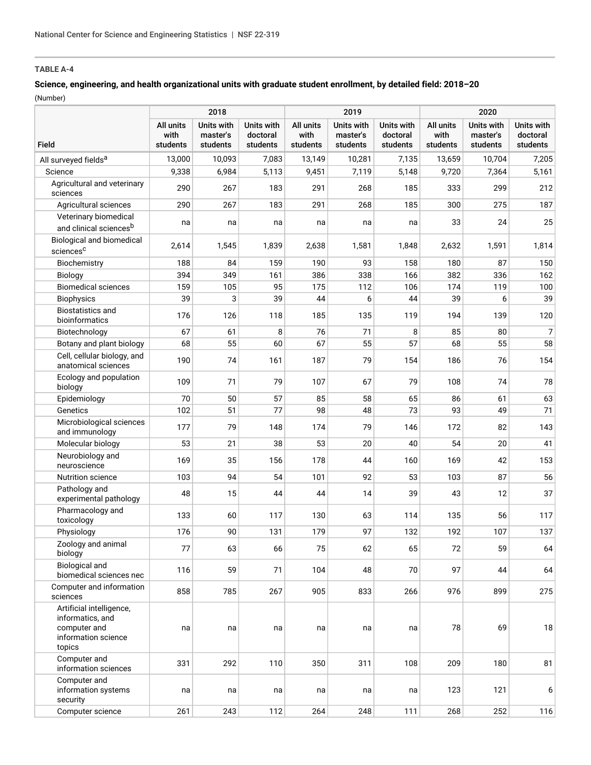#### **Science, engineering, and health organizational units with graduate student enrollment, by detailed field: 2018–20**

|                                                                                               |                               | 2018                               | 2019                               |                               |                                           | 2020                                      |                               |                                    |                                    |
|-----------------------------------------------------------------------------------------------|-------------------------------|------------------------------------|------------------------------------|-------------------------------|-------------------------------------------|-------------------------------------------|-------------------------------|------------------------------------|------------------------------------|
| Field                                                                                         | All units<br>with<br>students | Units with<br>master's<br>students | Units with<br>doctoral<br>students | All units<br>with<br>students | <b>Units with</b><br>master's<br>students | <b>Units with</b><br>doctoral<br>students | All units<br>with<br>students | Units with<br>master's<br>students | Units with<br>doctoral<br>students |
| All surveyed fields <sup>a</sup>                                                              | 13,000                        | 10,093                             | 7,083                              | 13,149                        | 10,281                                    | 7,135                                     | 13,659                        | 10.704                             | 7,205                              |
| Science                                                                                       | 9,338                         | 6,984                              | 5,113                              | 9,451                         | 7,119                                     | 5,148                                     | 9,720                         | 7,364                              | 5,161                              |
| Agricultural and veterinary<br>sciences                                                       | 290                           | 267                                | 183                                | 291                           | 268                                       | 185                                       | 333                           | 299                                | 212                                |
| Agricultural sciences                                                                         | 290                           | 267                                | 183                                | 291                           | 268                                       | 185                                       | 300                           | 275                                | 187                                |
| Veterinary biomedical<br>and clinical sciences <sup>b</sup>                                   | na                            | na                                 | na                                 | na                            | na                                        | na                                        | 33                            | 24                                 | 25                                 |
| Biological and biomedical<br>sciences <sup>c</sup>                                            | 2,614                         | 1,545                              | 1,839                              | 2,638                         | 1,581                                     | 1,848                                     | 2,632                         | 1,591                              | 1,814                              |
| Biochemistry                                                                                  | 188                           | 84                                 | 159                                | 190                           | 93                                        | 158                                       | 180                           | 87                                 | 150                                |
| <b>Biology</b>                                                                                | 394                           | 349                                | 161                                | 386                           | 338                                       | 166                                       | 382                           | 336                                | 162                                |
| <b>Biomedical sciences</b>                                                                    | 159                           | 105                                | 95                                 | 175                           | 112                                       | 106                                       | 174                           | 119                                | 100                                |
| <b>Biophysics</b>                                                                             | 39                            | 3                                  | 39                                 | 44                            | 6                                         | 44                                        | 39                            | 6                                  | 39                                 |
| <b>Biostatistics and</b><br>bioinformatics                                                    | 176                           | 126                                | 118                                | 185                           | 135                                       | 119                                       | 194                           | 139                                | 120                                |
| Biotechnology                                                                                 | 67                            | 61                                 | 8                                  | 76                            | 71                                        | 8                                         | 85                            | 80                                 | $\overline{7}$                     |
| Botany and plant biology                                                                      | 68                            | 55                                 | 60                                 | 67                            | 55                                        | 57                                        | 68                            | 55                                 | 58                                 |
| Cell, cellular biology, and<br>anatomical sciences                                            | 190                           | 74                                 | 161                                | 187                           | 79                                        | 154                                       | 186                           | 76                                 | 154                                |
| Ecology and population<br>biology                                                             | 109                           | 71                                 | 79                                 | 107                           | 67                                        | 79                                        | 108                           | 74                                 | 78                                 |
| Epidemiology                                                                                  | 70                            | 50                                 | 57                                 | 85                            | 58                                        | 65                                        | 86                            | 61                                 | 63                                 |
| Genetics                                                                                      | 102                           | 51                                 | 77                                 | 98                            | 48                                        | 73                                        | 93                            | 49                                 | 71                                 |
| Microbiological sciences<br>and immunology                                                    | 177                           | 79                                 | 148                                | 174                           | 79                                        | 146                                       | 172                           | 82                                 | 143                                |
| Molecular biology                                                                             | 53                            | 21                                 | 38                                 | 53                            | 20                                        | 40                                        | 54                            | 20                                 | 41                                 |
| Neurobiology and<br>neuroscience                                                              | 169                           | 35                                 | 156                                | 178                           | 44                                        | 160                                       | 169                           | 42                                 | 153                                |
| Nutrition science                                                                             | 103                           | 94                                 | 54                                 | 101                           | 92                                        | 53                                        | 103                           | 87                                 | 56                                 |
| Pathology and<br>experimental pathology                                                       | 48                            | 15                                 | 44                                 | 44                            | 14                                        | 39                                        | 43                            | 12                                 | 37                                 |
| Pharmacology and<br>toxicology                                                                | 133                           | 60                                 | 117                                | 130                           | 63                                        | 114                                       | 135                           | 56                                 | 117                                |
| Physiology                                                                                    | 176                           | 90                                 | 131                                | 179                           | 97                                        | 132                                       | 192                           | 107                                | 137                                |
| Zoology and animal<br>biology                                                                 | 77                            | 63                                 | 66                                 | 75                            | 62                                        | 65                                        | 72                            | 59                                 | 64                                 |
| <b>Biological and</b><br>biomedical sciences nec                                              | 116                           | 59                                 | 71                                 | 104                           | 48                                        | 70                                        | 97                            | 44                                 | 64                                 |
| Computer and information<br>sciences                                                          | 858                           | 785                                | 267                                | 905                           | 833                                       | 266                                       | 976                           | 899                                | 275                                |
| Artificial intelligence,<br>informatics, and<br>computer and<br>information science<br>topics | na                            | na                                 | na                                 | na                            | na                                        | na                                        | 78                            | 69                                 | 18                                 |
| Computer and<br>information sciences                                                          | 331                           | 292                                | 110                                | 350                           | 311                                       | 108                                       | 209                           | 180                                | 81                                 |
| Computer and<br>information systems<br>security                                               | na                            | na                                 | na                                 | na                            | na                                        | na                                        | 123                           | 121                                | 6                                  |
| Computer science                                                                              | 261                           | 243                                | 112                                | 264                           | 248                                       | 111                                       | 268                           | 252                                | 116                                |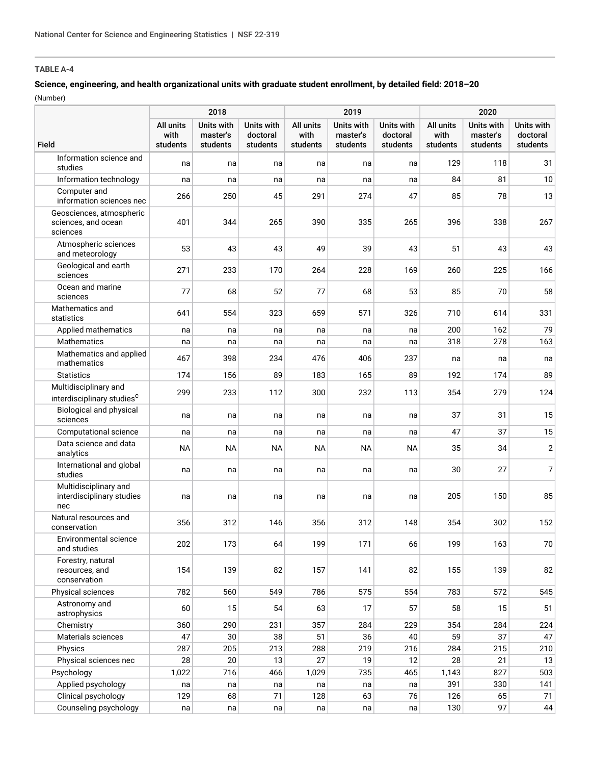## **Science, engineering, and health organizational units with graduate student enrollment, by detailed field: 2018–20**

|                                                                 |                               | 2018                               |                                    |                               | 2019                               |                                    |                               |                                           |                                    |
|-----------------------------------------------------------------|-------------------------------|------------------------------------|------------------------------------|-------------------------------|------------------------------------|------------------------------------|-------------------------------|-------------------------------------------|------------------------------------|
| Field                                                           | All units<br>with<br>students | Units with<br>master's<br>students | Units with<br>doctoral<br>students | All units<br>with<br>students | Units with<br>master's<br>students | Units with<br>doctoral<br>students | All units<br>with<br>students | <b>Units with</b><br>master's<br>students | Units with<br>doctoral<br>students |
| Information science and<br>studies                              | na                            | na                                 | na                                 | na                            | na                                 | na                                 | 129                           | 118                                       | 31                                 |
| Information technology                                          | na                            | na                                 | na                                 | na                            | na                                 | na                                 | 84                            | 81                                        | 10                                 |
| Computer and<br>information sciences nec                        | 266                           | 250                                | 45                                 | 291                           | 274                                | 47                                 | 85                            | 78                                        | 13                                 |
| Geosciences, atmospheric<br>sciences, and ocean<br>sciences     | 401                           | 344                                | 265                                | 390                           | 335                                | 265                                | 396                           | 338                                       | 267                                |
| Atmospheric sciences<br>and meteorology                         | 53                            | 43                                 | 43                                 | 49                            | 39                                 | 43                                 | 51                            | 43                                        | 43                                 |
| Geological and earth<br>sciences                                | 271                           | 233                                | 170                                | 264                           | 228                                | 169                                | 260                           | 225                                       | 166                                |
| Ocean and marine<br>sciences                                    | 77                            | 68                                 | 52                                 | 77                            | 68                                 | 53                                 | 85                            | 70                                        | 58                                 |
| Mathematics and<br>statistics                                   | 641                           | 554                                | 323                                | 659                           | 571                                | 326                                | 710                           | 614                                       | 331                                |
| Applied mathematics                                             | na                            | na                                 | na                                 | na                            | na                                 | na                                 | 200                           | 162                                       | 79                                 |
| Mathematics                                                     | na                            | na                                 | na                                 | na                            | na                                 | na                                 | 318                           | 278                                       | 163                                |
| Mathematics and applied<br>mathematics                          | 467                           | 398                                | 234                                | 476                           | 406                                | 237                                | na                            | na                                        | na                                 |
| <b>Statistics</b>                                               | 174                           | 156                                | 89                                 | 183                           | 165                                | 89                                 | 192                           | 174                                       | 89                                 |
| Multidisciplinary and<br>interdisciplinary studies <sup>c</sup> | 299                           | 233                                | 112                                | 300                           | 232                                | 113                                | 354                           | 279                                       | 124                                |
| Biological and physical<br>sciences                             | na                            | na                                 | na                                 | na                            | na                                 | na                                 | 37                            | 31                                        | 15                                 |
| Computational science                                           | na                            | na                                 | na                                 | na                            | na                                 | na                                 | 47                            | 37                                        | 15                                 |
| Data science and data<br>analytics                              | <b>NA</b>                     | <b>NA</b>                          | <b>NA</b>                          | <b>NA</b>                     | <b>NA</b>                          | <b>NA</b>                          | 35                            | 34                                        | $\overline{c}$                     |
| International and global<br>studies                             | na                            | na                                 | na                                 | na                            | na                                 | na                                 | 30                            | 27                                        | 7                                  |
| Multidisciplinary and<br>interdisciplinary studies<br>nec       | na                            | na                                 | na                                 | na                            | na                                 | na                                 | 205                           | 150                                       | 85                                 |
| Natural resources and<br>conservation                           | 356                           | 312                                | 146                                | 356                           | 312                                | 148                                | 354                           | 302                                       | 152                                |
| Environmental science<br>and studies                            | 202                           | 173                                | 64                                 | 199                           | 171                                | 66                                 | 199                           | 163                                       | 70                                 |
| Forestry, natural<br>resources, and<br>conservation             | 154                           | 139                                | 82                                 | 157                           | 141                                | 82                                 | 155                           | 139                                       | 82                                 |
| Physical sciences                                               | 782                           | 560                                | 549                                | 786                           | 575                                | 554                                | 783                           | 572                                       | 545                                |
| Astronomy and<br>astrophysics                                   | 60                            | 15                                 | 54                                 | 63                            | 17                                 | 57                                 | 58                            | 15                                        | 51                                 |
| Chemistry                                                       | 360                           | 290                                | 231                                | 357                           | 284                                | 229                                | 354                           | 284                                       | 224                                |
| Materials sciences                                              | 47                            | 30                                 | 38                                 | 51                            | 36                                 | 40                                 | 59                            | 37                                        | 47                                 |
| Physics                                                         | 287                           | 205                                | 213                                | 288                           | 219                                | 216                                | 284                           | 215                                       | 210                                |
| Physical sciences nec                                           | 28                            | 20                                 | 13                                 | 27                            | 19                                 | 12                                 | 28                            | 21                                        | 13                                 |
| Psychology                                                      | 1,022                         | 716                                | 466                                | 1,029                         | 735                                | 465                                | 1,143                         | 827                                       | 503                                |
| Applied psychology                                              | na                            | na                                 | na                                 | na                            | na                                 | na                                 | 391                           | 330                                       | 141                                |
| Clinical psychology                                             | 129                           | 68                                 | 71                                 | 128                           | 63                                 | 76                                 | 126                           | 65                                        | 71                                 |
| Counseling psychology                                           | na                            | na                                 | na                                 | na                            | na                                 | na                                 | 130                           | 97                                        | 44                                 |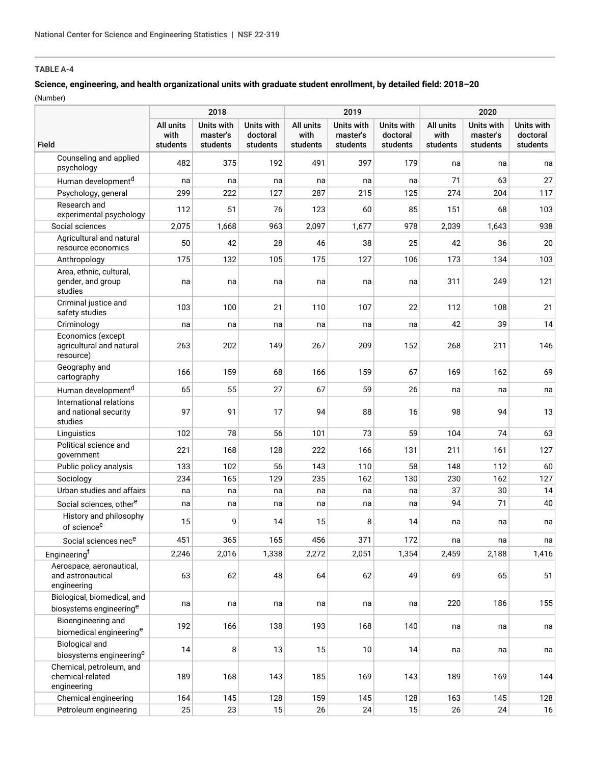## **Science, engineering, and health organizational units with graduate student enrollment, by detailed field: 2018–20**

|                                                                    |                                      | 2018                                      |                                    |                               | 2019                               |                                           |                               |                                           |                                    |
|--------------------------------------------------------------------|--------------------------------------|-------------------------------------------|------------------------------------|-------------------------------|------------------------------------|-------------------------------------------|-------------------------------|-------------------------------------------|------------------------------------|
| Field                                                              | <b>All units</b><br>with<br>students | <b>Units with</b><br>master's<br>students | Units with<br>doctoral<br>students | All units<br>with<br>students | Units with<br>master's<br>students | <b>Units with</b><br>doctoral<br>students | All units<br>with<br>students | <b>Units with</b><br>master's<br>students | Units with<br>doctoral<br>students |
| Counseling and applied<br>psychology                               | 482                                  | 375                                       | 192                                | 491                           | 397                                | 179                                       | na                            | na                                        | na                                 |
| Human development <sup>d</sup>                                     | na                                   | na                                        | na                                 | na                            | na                                 | na                                        | 71                            | 63                                        | 27                                 |
| Psychology, general                                                | 299                                  | 222                                       | 127                                | 287                           | 215                                | 125                                       | 274                           | 204                                       | 117                                |
| Research and<br>experimental psychology                            | 112                                  | 51                                        | 76                                 | 123                           | 60                                 | 85                                        | 151                           | 68                                        | 103                                |
| Social sciences                                                    | 2,075                                | 1,668                                     | 963                                | 2,097                         | 1,677                              | 978                                       | 2,039                         | 1,643                                     | 938                                |
| Agricultural and natural<br>resource economics                     | 50                                   | 42                                        | 28                                 | 46                            | 38                                 | 25                                        | 42                            | 36                                        | 20                                 |
| Anthropology                                                       | 175                                  | 132                                       | 105                                | 175                           | 127                                | 106                                       | 173                           | 134                                       | 103                                |
| Area, ethnic, cultural,<br>gender, and group<br>studies            | na                                   | na                                        | na                                 | na                            | na                                 | na                                        | 311                           | 249                                       | 121                                |
| Criminal justice and<br>safety studies                             | 103                                  | 100                                       | 21                                 | 110                           | 107                                | 22                                        | 112                           | 108                                       | 21                                 |
| Criminology                                                        | na                                   | na                                        | na                                 | na                            | na                                 | na                                        | 42                            | 39                                        | 14                                 |
| Economics (except<br>agricultural and natural<br>resource)         | 263                                  | 202                                       | 149                                | 267                           | 209                                | 152                                       | 268                           | 211                                       | 146                                |
| Geography and<br>cartography                                       | 166                                  | 159                                       | 68                                 | 166                           | 159                                | 67                                        | 169                           | 162                                       | 69                                 |
| Human development <sup>d</sup>                                     | 65                                   | 55                                        | 27                                 | 67                            | 59                                 | 26                                        | na                            | na                                        | na                                 |
| International relations<br>and national security<br>studies        | 97                                   | 91                                        | 17                                 | 94                            | 88                                 | 16                                        | 98                            | 94                                        | 13                                 |
| Linguistics                                                        | 102                                  | 78                                        | 56                                 | 101                           | 73                                 | 59                                        | 104                           | 74                                        | 63                                 |
| Political science and<br>government                                | 221                                  | 168                                       | 128                                | 222                           | 166                                | 131                                       | 211                           | 161                                       | 127                                |
| Public policy analysis                                             | 133                                  | 102                                       | 56                                 | 143                           | 110                                | 58                                        | 148                           | 112                                       | 60                                 |
| Sociology                                                          | 234                                  | 165                                       | 129                                | 235                           | 162                                | 130                                       | 230                           | 162                                       | 127                                |
| Urban studies and affairs                                          | na                                   | na                                        | na                                 | na                            | na                                 | na                                        | 37                            | 30                                        | 14                                 |
| Social sciences, other <sup>e</sup>                                | na                                   | na                                        | na                                 | na                            | na                                 | na                                        | 94                            | 71                                        | 40                                 |
| History and philosophy<br>of science <sup>e</sup>                  | 15                                   | 9                                         | 14                                 | 15                            | 8                                  | 14                                        | na                            | na                                        | na                                 |
| Social sciences nec <sup>e</sup>                                   | 451                                  | 365                                       | 165                                | 456                           | 371                                | 172                                       | na                            | na                                        | na                                 |
| Engineeringf                                                       | 2,246                                | 2,016                                     | 1,338                              | 2,272                         | 2,051                              | 1,354                                     | 2,459                         | 2,188                                     | 1,416                              |
| Aerospace, aeronautical,<br>and astronautical<br>engineering       | 63                                   | 62                                        | 48                                 | 64                            | 62                                 | 49                                        | 69                            | 65                                        | 51                                 |
| Biological, biomedical, and<br>biosystems engineering <sup>e</sup> | na                                   | na                                        | na                                 | na                            | na                                 | na                                        | 220                           | 186                                       | 155                                |
| Bioengineering and<br>biomedical engineering <sup>e</sup>          | 192                                  | 166                                       | 138                                | 193                           | 168                                | 140                                       | na                            | na                                        | na                                 |
| <b>Biological and</b><br>biosystems engineering <sup>e</sup>       | 14                                   | 8                                         | 13                                 | 15                            | 10                                 | 14                                        | na                            | na                                        | na                                 |
| Chemical, petroleum, and<br>chemical-related<br>engineering        | 189                                  | 168                                       | 143                                | 185                           | 169                                | 143                                       | 189                           | 169                                       | 144                                |
| Chemical engineering                                               | 164                                  | 145                                       | 128                                | 159                           | 145                                | 128                                       | 163                           | 145                                       | 128                                |
| Petroleum engineering                                              | 25                                   | 23                                        | 15                                 | 26                            | 24                                 | 15                                        | $26\,$                        | 24                                        | 16                                 |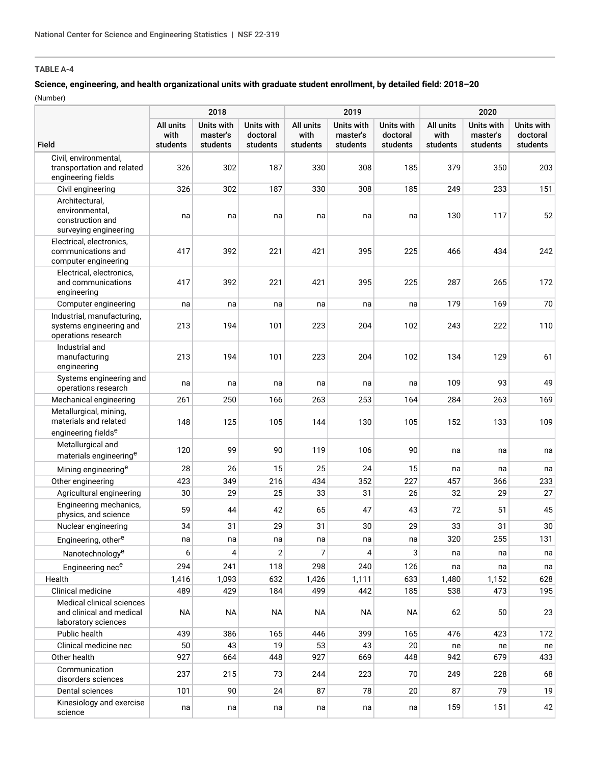#### **Science, engineering, and health organizational units with graduate student enrollment, by detailed field: 2018–20**

|                                                                                    |                                      | 2018                               |                                    |                               | 2019                               |                                    | 2020                          |                                    |                                    |
|------------------------------------------------------------------------------------|--------------------------------------|------------------------------------|------------------------------------|-------------------------------|------------------------------------|------------------------------------|-------------------------------|------------------------------------|------------------------------------|
| Field                                                                              | <b>All units</b><br>with<br>students | Units with<br>master's<br>students | Units with<br>doctoral<br>students | All units<br>with<br>students | Units with<br>master's<br>students | Units with<br>doctoral<br>students | All units<br>with<br>students | Units with<br>master's<br>students | Units with<br>doctoral<br>students |
| Civil, environmental,<br>transportation and related<br>engineering fields          | 326                                  | 302                                | 187                                | 330                           | 308                                | 185                                | 379                           | 350                                | 203                                |
| Civil engineering                                                                  | 326                                  | 302                                | 187                                | 330                           | 308                                | 185                                | 249                           | 233                                | 151                                |
| Architectural,<br>environmental,<br>construction and<br>surveying engineering      | na                                   | na                                 | na                                 | na                            | na                                 | na                                 | 130                           | 117                                | 52                                 |
| Electrical, electronics,<br>communications and<br>computer engineering             | 417                                  | 392                                | 221                                | 421                           | 395                                | 225                                | 466                           | 434                                | 242                                |
| Electrical, electronics,<br>and communications<br>engineering                      | 417                                  | 392                                | 221                                | 421                           | 395                                | 225                                | 287                           | 265                                | 172                                |
| Computer engineering                                                               | na                                   | na                                 | na                                 | na                            | na                                 | na                                 | 179                           | 169                                | 70                                 |
| Industrial, manufacturing,<br>systems engineering and<br>operations research       | 213                                  | 194                                | 101                                | 223                           | 204                                | 102                                | 243                           | 222                                | 110                                |
| Industrial and<br>manufacturing<br>engineering                                     | 213                                  | 194                                | 101                                | 223                           | 204                                | 102                                | 134                           | 129                                | 61                                 |
| Systems engineering and<br>operations research                                     | na                                   | na                                 | na                                 | na                            | na                                 | na                                 | 109                           | 93                                 | 49                                 |
| Mechanical engineering                                                             | 261                                  | 250                                | 166                                | 263                           | 253                                | 164                                | 284                           | 263                                | 169                                |
| Metallurgical, mining,<br>materials and related<br>engineering fields <sup>e</sup> | 148                                  | 125                                | 105                                | 144                           | 130                                | 105                                | 152                           | 133                                | 109                                |
| Metallurgical and<br>materials engineering <sup>e</sup>                            | 120                                  | 99                                 | 90                                 | 119                           | 106                                | 90                                 | na                            | na                                 | na                                 |
| Mining engineering <sup>e</sup>                                                    | 28                                   | 26                                 | 15                                 | 25                            | 24                                 | 15                                 | na                            | na                                 | na                                 |
| Other engineering                                                                  | 423                                  | 349                                | 216                                | 434                           | 352                                | 227                                | 457                           | 366                                | 233                                |
| Agricultural engineering                                                           | 30                                   | 29                                 | 25                                 | 33                            | 31                                 | 26                                 | 32                            | 29                                 | 27                                 |
| Engineering mechanics,<br>physics, and science                                     | 59                                   | 44                                 | 42                                 | 65                            | 47                                 | 43                                 | 72                            | 51                                 | 45                                 |
| Nuclear engineering                                                                | 34                                   | 31                                 | 29                                 | 31                            | 30                                 | 29                                 | 33                            | 31                                 | 30                                 |
| Engineering, other <sup>e</sup>                                                    | na                                   | na                                 | na                                 | na                            | na                                 | na                                 | 320                           | 255                                | 131                                |
| Nanotechnology <sup>e</sup>                                                        | 6                                    | 4                                  | $\overline{2}$                     | 7                             | 4                                  | 3                                  | na                            | na                                 | na                                 |
| Engineering nece                                                                   | 294                                  | 241                                | 118                                | 298                           | 240                                | 126                                | na                            | na                                 | na                                 |
| Health                                                                             | 1,416                                | 1,093                              | 632                                | 1,426                         | 1,111                              | 633                                | 1,480                         | 1,152                              | 628                                |
| Clinical medicine                                                                  | 489                                  | 429                                | 184                                | 499                           | 442                                | 185                                | 538                           | 473                                | 195                                |
| Medical clinical sciences<br>and clinical and medical<br>laboratory sciences       | <b>NA</b>                            | <b>NA</b>                          | <b>NA</b>                          | <b>NA</b>                     | <b>NA</b>                          | <b>NA</b>                          | 62                            | 50                                 | 23                                 |
| Public health                                                                      | 439                                  | 386                                | 165                                | 446                           | 399                                | 165                                | 476                           | 423                                | 172                                |
| Clinical medicine nec                                                              | 50                                   | 43                                 | 19                                 | 53                            | 43                                 | 20                                 | ne                            | ne                                 | ne                                 |
| Other health                                                                       | 927                                  | 664                                | 448                                | 927                           | 669                                | 448                                | 942                           | 679                                | 433                                |
| Communication<br>disorders sciences                                                | 237                                  | 215                                | 73                                 | 244                           | 223                                | 70                                 | 249                           | 228                                | 68                                 |
| Dental sciences                                                                    | 101                                  | 90                                 | 24                                 | 87                            | 78                                 | 20                                 | 87                            | 79                                 | 19                                 |
| Kinesiology and exercise<br>science                                                | na                                   | na                                 | na                                 | na                            | na                                 | na                                 | 159                           | 151                                | 42                                 |